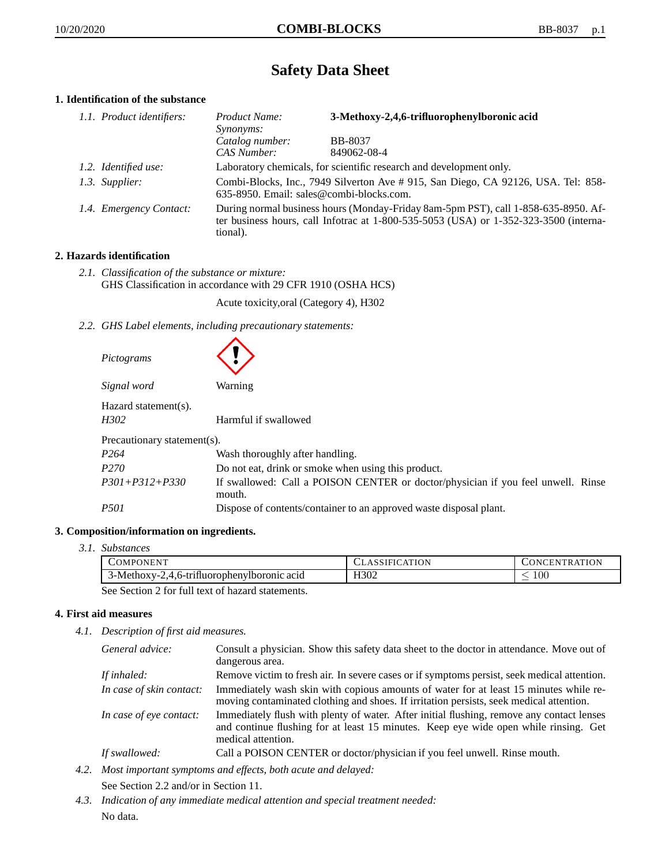# **Safety Data Sheet**

# **1. Identification of the substance**

| 1.1. Product identifiers: | Product Name:<br><i>Synonyms:</i>                                   | 3-Methoxy-2,4,6-trifluorophenylboronic acid                                                                                                                                 |
|---------------------------|---------------------------------------------------------------------|-----------------------------------------------------------------------------------------------------------------------------------------------------------------------------|
|                           | Catalog number:                                                     | <b>BB-8037</b>                                                                                                                                                              |
|                           | CAS Number:                                                         | 849062-08-4                                                                                                                                                                 |
| 1.2. Identified use:      | Laboratory chemicals, for scientific research and development only. |                                                                                                                                                                             |
| 1.3. Supplier:            | 635-8950. Email: sales@combi-blocks.com.                            | Combi-Blocks, Inc., 7949 Silverton Ave # 915, San Diego, CA 92126, USA. Tel: 858-                                                                                           |
| 1.4. Emergency Contact:   | tional).                                                            | During normal business hours (Monday-Friday 8am-5pm PST), call 1-858-635-8950. Af-<br>ter business hours, call Infotrac at 1-800-535-5053 (USA) or 1-352-323-3500 (interna- |

# **2. Hazards identification**

*2.1. Classification of the substance or mixture:* GHS Classification in accordance with 29 CFR 1910 (OSHA HCS)

Acute toxicity,oral (Category 4), H302

*2.2. GHS Label elements, including precautionary statements:*

| Pictograms                                           |                                                                                            |  |  |
|------------------------------------------------------|--------------------------------------------------------------------------------------------|--|--|
| Signal word                                          | Warning                                                                                    |  |  |
| Hazard statement(s).<br>H302<br>Harmful if swallowed |                                                                                            |  |  |
| Precautionary statement(s).                          |                                                                                            |  |  |
| P <sub>264</sub>                                     | Wash thoroughly after handling.                                                            |  |  |
| P <sub>270</sub>                                     | Do not eat, drink or smoke when using this product.                                        |  |  |
| $P301 + P312 + P330$                                 | If swallowed: Call a POISON CENTER or doctor/physician if you feel unwell. Rinse<br>mouth. |  |  |
| <i>P501</i>                                          | Dispose of contents/container to an approved waste disposal plant.                         |  |  |

# **3. Composition/information on ingredients.**

*3.1. Substances*

| COMPONENT                                             | <b>CLASSIFICATION</b> | <b>CONCENTRATION</b> |
|-------------------------------------------------------|-----------------------|----------------------|
| . .<br>-Methoxy-2<br>,4,6-trifluorophenylboronic acid | H302                  | $100\,$              |
| $\sim$ 11.                                            |                       |                      |

See Section 2 for full text of hazard statements.

# **4. First aid measures**

*4.1. Description of first aid measures.*

| General advice:          | Consult a physician. Show this safety data sheet to the doctor in attendance. Move out of<br>dangerous area.                                                                                            |
|--------------------------|---------------------------------------------------------------------------------------------------------------------------------------------------------------------------------------------------------|
| If inhaled:              | Remove victim to fresh air. In severe cases or if symptoms persist, seek medical attention.                                                                                                             |
| In case of skin contact: | Immediately wash skin with copious amounts of water for at least 15 minutes while re-<br>moving contaminated clothing and shoes. If irritation persists, seek medical attention.                        |
| In case of eye contact:  | Immediately flush with plenty of water. After initial flushing, remove any contact lenses<br>and continue flushing for at least 15 minutes. Keep eye wide open while rinsing. Get<br>medical attention. |
| If swallowed:            | Call a POISON CENTER or doctor/physician if you feel unwell. Rinse mouth.                                                                                                                               |

- *4.2. Most important symptoms and effects, both acute and delayed:* See Section 2.2 and/or in Section 11.
- *4.3. Indication of any immediate medical attention and special treatment needed:* No data.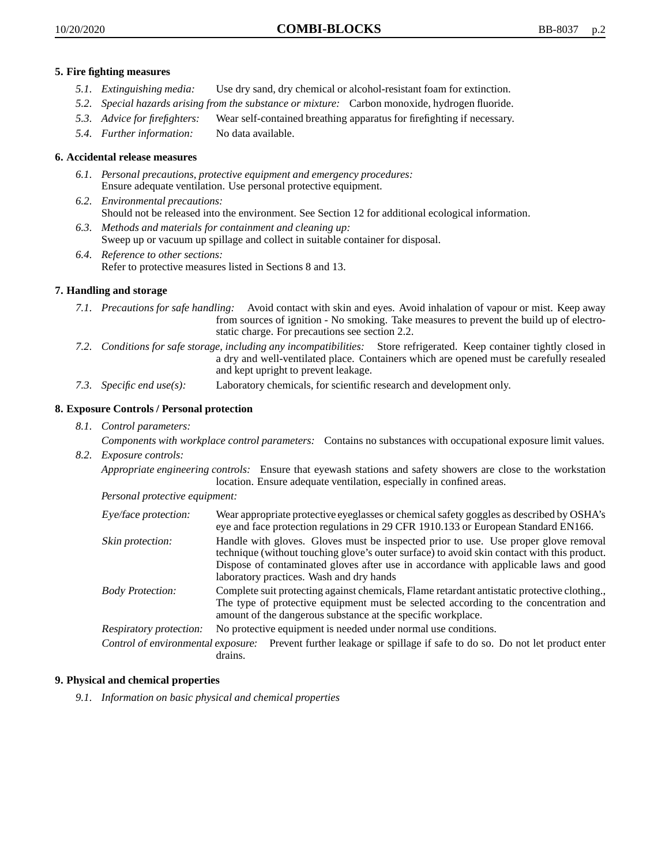- *5.1. Extinguishing media:* Use dry sand, dry chemical or alcohol-resistant foam for extinction.
- *5.2. Special hazards arising from the substance or mixture:* Carbon monoxide, hydrogen fluoride.
- *5.3. Advice for firefighters:* Wear self-contained breathing apparatus for firefighting if necessary.
- *5.4. Further information:* No data available.

# **6. Accidental release measures**

- *6.1. Personal precautions, protective equipment and emergency procedures:* Ensure adequate ventilation. Use personal protective equipment.
- *6.2. Environmental precautions:* Should not be released into the environment. See Section 12 for additional ecological information.
- *6.3. Methods and materials for containment and cleaning up:* Sweep up or vacuum up spillage and collect in suitable container for disposal.
- *6.4. Reference to other sections:* Refer to protective measures listed in Sections 8 and 13.

#### **7. Handling and storage**

- *7.1. Precautions for safe handling:* Avoid contact with skin and eyes. Avoid inhalation of vapour or mist. Keep away from sources of ignition - No smoking. Take measures to prevent the build up of electrostatic charge. For precautions see section 2.2.
- *7.2. Conditions for safe storage, including any incompatibilities:* Store refrigerated. Keep container tightly closed in a dry and well-ventilated place. Containers which are opened must be carefully resealed and kept upright to prevent leakage.
- *7.3. Specific end use(s):* Laboratory chemicals, for scientific research and development only.

## **8. Exposure Controls / Personal protection**

*8.1. Control parameters:*

*Components with workplace control parameters:* Contains no substances with occupational exposure limit values.

*8.2. Exposure controls:*

*Appropriate engineering controls:* Ensure that eyewash stations and safety showers are close to the workstation location. Ensure adequate ventilation, especially in confined areas.

*Personal protective equipment:*

| Eye/face protection:    | Wear appropriate protective eyeglasses or chemical safety goggles as described by OSHA's<br>eye and face protection regulations in 29 CFR 1910.133 or European Standard EN166.                                                                                                                                         |
|-------------------------|------------------------------------------------------------------------------------------------------------------------------------------------------------------------------------------------------------------------------------------------------------------------------------------------------------------------|
| Skin protection:        | Handle with gloves. Gloves must be inspected prior to use. Use proper glove removal<br>technique (without touching glove's outer surface) to avoid skin contact with this product.<br>Dispose of contaminated gloves after use in accordance with applicable laws and good<br>laboratory practices. Wash and dry hands |
| <b>Body Protection:</b> | Complete suit protecting against chemicals, Flame retardant antistatic protective clothing.,<br>The type of protective equipment must be selected according to the concentration and<br>amount of the dangerous substance at the specific workplace.                                                                   |
| Respiratory protection: | No protective equipment is needed under normal use conditions.                                                                                                                                                                                                                                                         |
|                         | Control of environmental exposure: Prevent further leakage or spillage if safe to do so. Do not let product enter<br>drains.                                                                                                                                                                                           |

#### **9. Physical and chemical properties**

*9.1. Information on basic physical and chemical properties*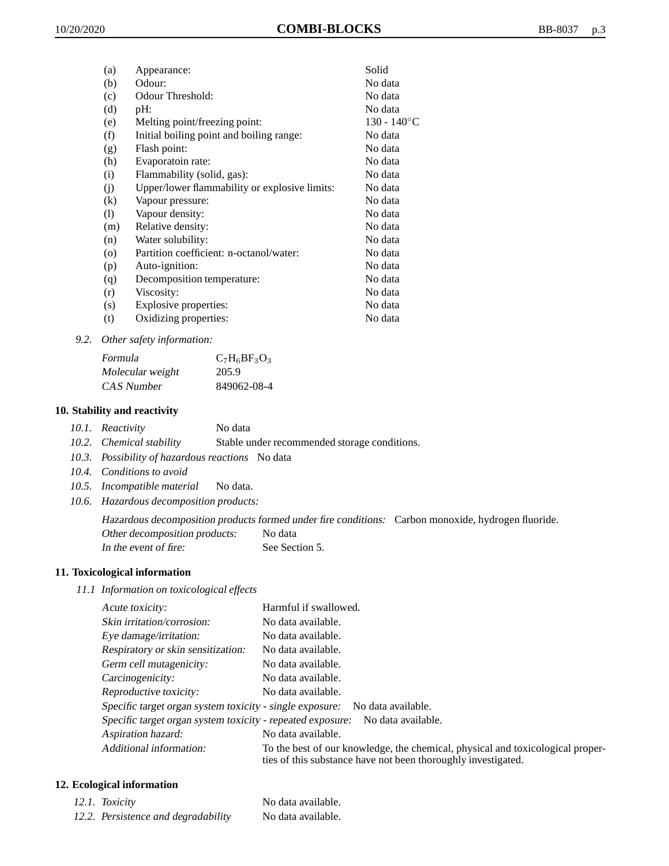| (a)     | Appearance:                                   | Solid          |
|---------|-----------------------------------------------|----------------|
| (b)     | Odour:                                        | No data        |
| (c)     | Odour Threshold:                              | No data        |
| (d)     | pH:                                           | No data        |
| (e)     | Melting point/freezing point:                 | $130 - 140$ °C |
| (f)     | Initial boiling point and boiling range:      | No data        |
| (g)     | Flash point:                                  | No data        |
| (h)     | Evaporatoin rate:                             | No data        |
| (i)     | Flammability (solid, gas):                    | No data        |
| (j)     | Upper/lower flammability or explosive limits: | No data        |
| (k)     | Vapour pressure:                              | No data        |
| (1)     | Vapour density:                               | No data        |
| (m)     | Relative density:                             | No data        |
| (n)     | Water solubility:                             | No data        |
| $\circ$ | Partition coefficient: n-octanol/water:       | No data        |
| (p)     | Auto-ignition:                                | No data        |
| (q)     | Decomposition temperature:                    | No data        |
| (r)     | Viscosity:                                    | No data        |
| (s)     | Explosive properties:                         | No data        |
| (t)     | Oxidizing properties:                         | No data        |
|         |                                               |                |

*9.2. Other safety information:*

| Formula          | $C_7H_6BF_3O_3$ |
|------------------|-----------------|
| Molecular weight | 205.9           |
| CAS Number       | 849062-08-4     |

## **10. Stability and reactivity**

- *10.1. Reactivity* No data
- *10.2. Chemical stability* Stable under recommended storage conditions.
- *10.3. Possibility of hazardous reactions* No data
- *10.4. Conditions to avoid*
- *10.5. Incompatible material* No data.
- *10.6. Hazardous decomposition products:*

Hazardous decomposition products formed under fire conditions: Carbon monoxide, hydrogen fluoride. Other decomposition products: No data In the event of fire: See Section 5.

# **11. Toxicological information**

*11.1 Information on toxicological effects*

| Acute toxicity:                                            | Harmful if swallowed.                                                                                                                           |
|------------------------------------------------------------|-------------------------------------------------------------------------------------------------------------------------------------------------|
| Skin irritation/corrosion:                                 | No data available.                                                                                                                              |
| Eye damage/irritation:                                     | No data available.                                                                                                                              |
| Respiratory or skin sensitization:                         | No data available.                                                                                                                              |
| Germ cell mutagenicity:                                    | No data available.                                                                                                                              |
| Carcinogenicity:                                           | No data available.                                                                                                                              |
| Reproductive toxicity:                                     | No data available.                                                                                                                              |
| Specific target organ system toxicity - single exposure:   | No data available.                                                                                                                              |
| Specific target organ system toxicity - repeated exposure: | No data available.                                                                                                                              |
| Aspiration hazard:                                         | No data available.                                                                                                                              |
| Additional information:                                    | To the best of our knowledge, the chemical, physical and toxicological proper-<br>ties of this substance have not been thoroughly investigated. |

## **12. Ecological information**

| 12.1. Toxicity                      | No data available. |
|-------------------------------------|--------------------|
| 12.2. Persistence and degradability | No data available. |